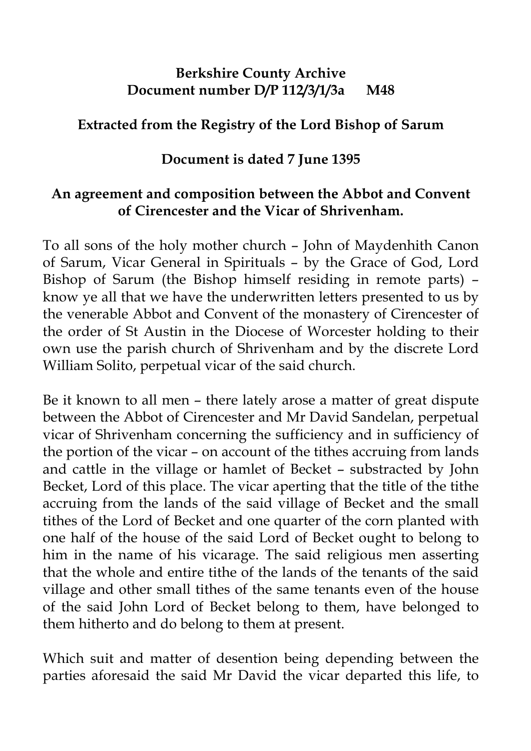## **Berkshire County Archive Document number D/P 112/3/1/3a M48**

## **Extracted from the Registry of the Lord Bishop of Sarum**

## **Document is dated 7 June 1395**

## **An agreement and composition between the Abbot and Convent of Cirencester and the Vicar of Shrivenham.**

To all sons of the holy mother church – John of Maydenhith Canon of Sarum, Vicar General in Spirituals – by the Grace of God, Lord Bishop of Sarum (the Bishop himself residing in remote parts) – know ye all that we have the underwritten letters presented to us by the venerable Abbot and Convent of the monastery of Cirencester of the order of St Austin in the Diocese of Worcester holding to their own use the parish church of Shrivenham and by the discrete Lord William Solito, perpetual vicar of the said church.

Be it known to all men – there lately arose a matter of great dispute between the Abbot of Cirencester and Mr David Sandelan, perpetual vicar of Shrivenham concerning the sufficiency and in sufficiency of the portion of the vicar – on account of the tithes accruing from lands and cattle in the village or hamlet of Becket – substracted by John Becket, Lord of this place. The vicar aperting that the title of the tithe accruing from the lands of the said village of Becket and the small tithes of the Lord of Becket and one quarter of the corn planted with one half of the house of the said Lord of Becket ought to belong to him in the name of his vicarage. The said religious men asserting that the whole and entire tithe of the lands of the tenants of the said village and other small tithes of the same tenants even of the house of the said John Lord of Becket belong to them, have belonged to them hitherto and do belong to them at present.

Which suit and matter of desention being depending between the parties aforesaid the said Mr David the vicar departed this life, to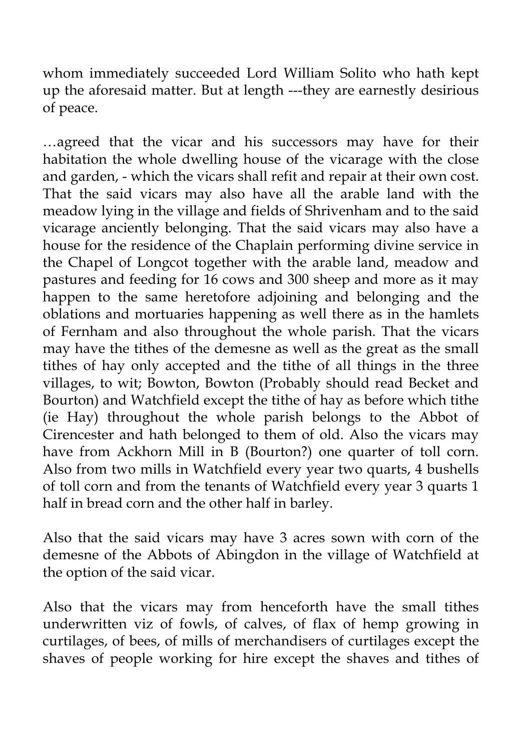whom immediately succeeded Lord William Solito who hath kept up the aforesaid matter. But at length ---they are earnestly desirious of peace.

…agreed that the vicar and his successors may have for their habitation the whole dwelling house of the vicarage with the close and garden, - which the vicars shall refit and repair at their own cost. That the said vicars may also have all the arable land with the meadow lying in the village and fields of Shrivenham and to the said vicarage anciently belonging. That the said vicars may also have a house for the residence of the Chaplain performing divine service in the Chapel of Longcot together with the arable land, meadow and pastures and feeding for 16 cows and 300 sheep and more as it may happen to the same heretofore adjoining and belonging and the oblations and mortuaries happening as well there as in the hamlets of Fernham and also throughout the whole parish. That the vicars may have the tithes of the demesne as well as the great as the small tithes of hay only accepted and the tithe of all things in the three villages, to wit; Bowton, Bowton (Probably should read Becket and Bourton) and Watchfield except the tithe of hay as before which tithe (ie Hay) throughout the whole parish belongs to the Abbot of Cirencester and hath belonged to them of old. Also the vicars may have from Ackhorn Mill in B (Bourton?) one quarter of toll corn. Also from two mills in Watchfield every year two quarts, 4 bushells of toll corn and from the tenants of Watchfield every year 3 quarts 1 half in bread corn and the other half in barley.

Also that the said vicars may have 3 acres sown with corn of the demesne of the Abbots of Abingdon in the village of Watchfield at the option of the said vicar.

Also that the vicars may from henceforth have the small tithes underwritten viz of fowls, of calves, of flax of hemp growing in curtilages, of bees, of mills of merchandisers of curtilages except the shaves of people working for hire except the shaves and tithes of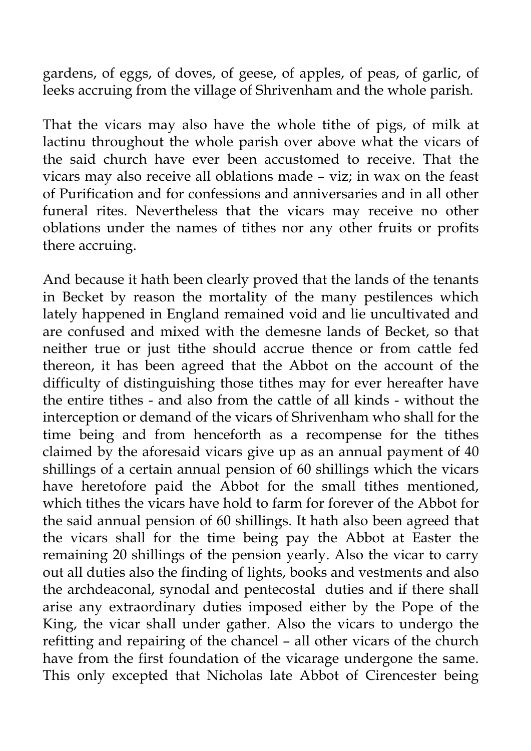gardens, of eggs, of doves, of geese, of apples, of peas, of garlic, of leeks accruing from the village of Shrivenham and the whole parish.

That the vicars may also have the whole tithe of pigs, of milk at lactinu throughout the whole parish over above what the vicars of the said church have ever been accustomed to receive. That the vicars may also receive all oblations made – viz; in wax on the feast of Purification and for confessions and anniversaries and in all other funeral rites. Nevertheless that the vicars may receive no other oblations under the names of tithes nor any other fruits or profits there accruing.

And because it hath been clearly proved that the lands of the tenants in Becket by reason the mortality of the many pestilences which lately happened in England remained void and lie uncultivated and are confused and mixed with the demesne lands of Becket, so that neither true or just tithe should accrue thence or from cattle fed thereon, it has been agreed that the Abbot on the account of the difficulty of distinguishing those tithes may for ever hereafter have the entire tithes - and also from the cattle of all kinds - without the interception or demand of the vicars of Shrivenham who shall for the time being and from henceforth as a recompense for the tithes claimed by the aforesaid vicars give up as an annual payment of 40 shillings of a certain annual pension of 60 shillings which the vicars have heretofore paid the Abbot for the small tithes mentioned, which tithes the vicars have hold to farm for forever of the Abbot for the said annual pension of 60 shillings. It hath also been agreed that the vicars shall for the time being pay the Abbot at Easter the remaining 20 shillings of the pension yearly. Also the vicar to carry out all duties also the finding of lights, books and vestments and also the archdeaconal, synodal and pentecostal duties and if there shall arise any extraordinary duties imposed either by the Pope of the King, the vicar shall under gather. Also the vicars to undergo the refitting and repairing of the chancel – all other vicars of the church have from the first foundation of the vicarage undergone the same. This only excepted that Nicholas late Abbot of Cirencester being